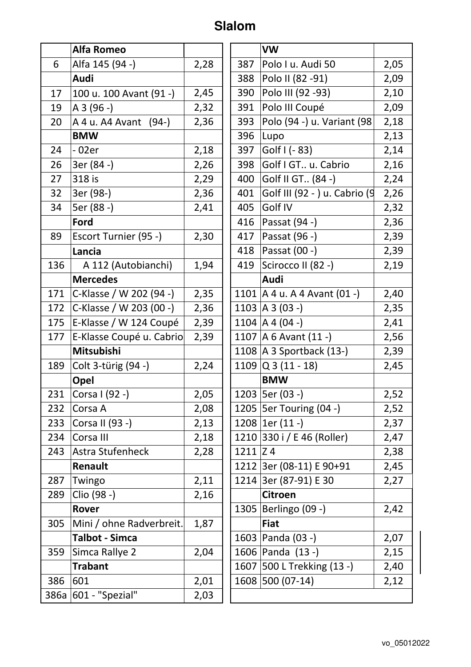## **Slalom**

|     | <b>Alfa Romeo</b>        |      |              | <b>VW</b>                        |      |
|-----|--------------------------|------|--------------|----------------------------------|------|
| 6   | Alfa 145 (94 -)          | 2,28 | 387          | Polo I u. Audi 50                | 2,05 |
|     | Audi                     |      | 388          | Polo II (82 - 91)                | 2,09 |
| 17  | 100 u. 100 Avant (91 -)  | 2,45 | 390          | Polo III (92 - 93)               | 2,10 |
| 19  | $A3(96 - )$              | 2,32 | 391          | Polo III Coupé                   | 2,09 |
| 20  | A 4 u. A 4 Avant (94-)   | 2,36 | 393          | Polo (94 -) u. Variant (98       | 2,18 |
|     | <b>BMW</b>               |      | 396          | Lupo                             | 2,13 |
| 24  | $-02er$                  | 2,18 | 397          | Golf $( - 83)$                   | 2,14 |
| 26  | 3er (84 -)               | 2,26 | 398          | Golf I GT u. Cabrio              | 2,16 |
| 27  | 318 is                   | 2,29 | 400          | Golf II GT (84 -)                | 2,24 |
| 32  | 3er (98-)                | 2,36 | 401          | Golf III (92 - ) u. Cabrio (9    | 2,26 |
| 34  | 5er (88 -)               | 2,41 | 405          | Golf IV                          | 2,32 |
|     | Ford                     |      | 416          | Passat (94 -)                    | 2,36 |
| 89  | Escort Turnier (95 -)    | 2,30 | 417          | Passat (96 -)                    | 2,39 |
|     | Lancia                   |      | 418          | Passat (00 -)                    | 2,39 |
| 136 | A 112 (Autobianchi)      | 1,94 | 419          | Scirocco II (82 -)               | 2,19 |
|     | <b>Mercedes</b>          |      |              | Audi                             |      |
| 171 | C-Klasse / W 202 (94 -)  | 2,35 |              | 1101   A 4 u. A 4 Avant $(01 -)$ | 2,40 |
| 172 | C-Klasse / W 203 (00 -)  | 2,36 |              | 1103   A 3 (03 -)                | 2,35 |
| 175 | E-Klasse / W 124 Coupé   | 2,39 |              | 1104   A 4 (04 -)                | 2,41 |
| 177 | E-Klasse Coupé u. Cabrio | 2,39 |              | 1107   A 6 Avant $(11 - )$       | 2,56 |
|     | Mitsubishi               |      |              | 1108   A 3 Sportback (13-)       | 2,39 |
| 189 | Colt 3-türig (94 -)      | 2,24 |              | $1109$ Q 3 (11 - 18)             | 2,45 |
|     | Opel                     |      |              | <b>BMW</b>                       |      |
| 231 | Corsa I (92 -)           | 2,05 |              | 1203   5er (03 -)                | 2,52 |
| 232 | Corsa A                  | 2,08 |              | 1205   5er Touring (04 -)        | 2,52 |
| 233 | Corsa II (93 -)          | 2,13 |              | $1208$   1er (11 -)              | 2,37 |
| 234 | Corsa III                | 2,18 |              | 1210 330 i / E 46 (Roller)       | 2,47 |
| 243 | Astra Stufenheck         | 2,28 | $1211$ $Z$ 4 |                                  | 2,38 |
|     | Renault                  |      |              | 1212 3er (08-11) E 90+91         | 2,45 |
| 287 | Twingo                   | 2,11 |              | 1214 3er (87-91) E 30            | 2,27 |
| 289 | Clio (98 -)              | 2,16 |              | <b>Citroen</b>                   |      |
|     | Rover                    |      |              | 1305   Berlingo (09 -)           | 2,42 |
| 305 | Mini / ohne Radverbreit. | 1,87 |              | <b>Fiat</b>                      |      |
|     | <b>Talbot - Simca</b>    |      |              | 1603   Panda (03 -)              | 2,07 |
| 359 | Simca Rallye 2           | 2,04 |              | 1606 Panda (13 -)                | 2,15 |
|     | <b>Trabant</b>           |      |              | 1607 500 L Trekking (13 -)       | 2,40 |
| 386 | 601                      | 2,01 |              | 1608 500 (07-14)                 | 2,12 |
|     | 386a 601 - "Spezial"     | 2,03 |              |                                  |      |
|     |                          |      |              |                                  |      |

|      | <b>VW</b>                        |      |
|------|----------------------------------|------|
| 387  | Polo I u. Audi 50                | 2,05 |
| 388  | Polo II (82 -91)                 | 2,09 |
| 390  | Polo III (92 - 93)               | 2,10 |
| 391  | Polo III Coupé                   | 2,09 |
| 393  | Polo (94 -) u. Variant (98       | 2,18 |
| 396  | Lupo                             | 2,13 |
| 397  | Golf I (- 83)                    | 2,14 |
| 398  | Golf I GT u. Cabrio              | 2,16 |
| 400  | Golf II GT (84 -)                | 2,24 |
| 401  | Golf III (92 - ) u. Cabrio (9    | 2,26 |
| 405  | Golf IV                          | 2,32 |
| 416  | Passat (94 -)                    | 2,36 |
| 417  | Passat (96 -)                    | 2,39 |
| 418  | Passat (00 -)                    | 2,39 |
| 419  | Scirocco II (82 -)               | 2,19 |
|      | Audi                             |      |
|      | 1101   A 4 u. A 4 Avant $(01 -)$ | 2,40 |
| 1103 | $A \ 3 \ (03 -)$                 | 2,35 |
|      | 1104   A 4 (04 -)                | 2,41 |
|      | 1107   A 6 Avant $(11 - )$       | 2,56 |
|      | 1108   A 3 Sportback (13-)       | 2,39 |
|      | 1109 $ Q 3 (11 - 18)$            | 2,45 |
|      | <b>BMW</b>                       |      |
| 1203 | 5er (03 -)                       | 2,52 |
|      | 1205   5er Touring (04 -)        | 2,52 |
| 1208 | 1er (11 -)                       | 2,37 |
|      | 1210 330 i / E 46 (Roller)       | 2,47 |
| 1211 | Z <sub>4</sub>                   | 2,38 |
|      | 1212 3er (08-11) E 90+91         | 2,45 |
| 1214 | 3er (87-91) E 30                 | 2,27 |
|      | <b>Citroen</b>                   |      |
| 1305 | Berlingo (09 -)                  | 2,42 |
|      | <b>Fiat</b>                      |      |
| 1603 | Panda (03 -)                     | 2,07 |
| 1606 | Panda (13 -)                     | 2,15 |
| 1607 | 500 L Trekking (13 -)            | 2,40 |
| 1608 | $500(07-14)$                     | 2,12 |
|      |                                  |      |